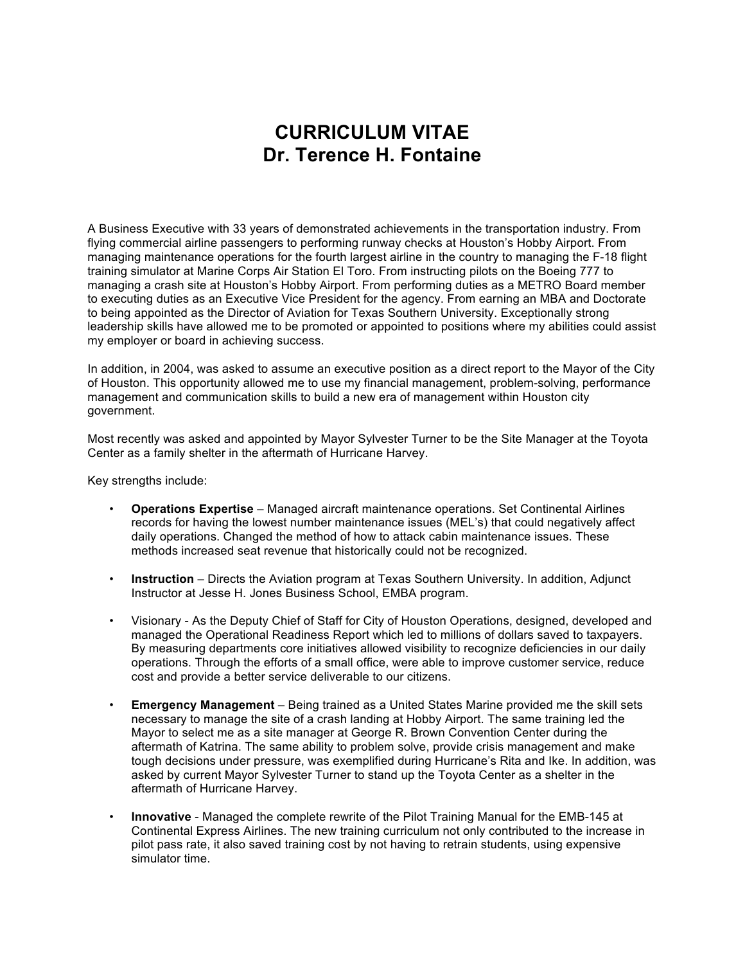# **CURRICULUM VITAE Dr. Terence H. Fontaine**

A Business Executive with 33 years of demonstrated achievements in the transportation industry. From flying commercial airline passengers to performing runway checks at Houston's Hobby Airport. From managing maintenance operations for the fourth largest airline in the country to managing the F-18 flight training simulator at Marine Corps Air Station El Toro. From instructing pilots on the Boeing 777 to managing a crash site at Houston's Hobby Airport. From performing duties as a METRO Board member to executing duties as an Executive Vice President for the agency. From earning an MBA and Doctorate to being appointed as the Director of Aviation for Texas Southern University. Exceptionally strong leadership skills have allowed me to be promoted or appointed to positions where my abilities could assist my employer or board in achieving success.

In addition, in 2004, was asked to assume an executive position as a direct report to the Mayor of the City of Houston. This opportunity allowed me to use my financial management, problem-solving, performance management and communication skills to build a new era of management within Houston city government.

Most recently was asked and appointed by Mayor Sylvester Turner to be the Site Manager at the Toyota Center as a family shelter in the aftermath of Hurricane Harvey.

Key strengths include:

- **Operations Expertise** Managed aircraft maintenance operations. Set Continental Airlines records for having the lowest number maintenance issues (MEL's) that could negatively affect daily operations. Changed the method of how to attack cabin maintenance issues. These methods increased seat revenue that historically could not be recognized.
- **Instruction** Directs the Aviation program at Texas Southern University. In addition, Adjunct Instructor at Jesse H. Jones Business School, EMBA program.
- Visionary As the Deputy Chief of Staff for City of Houston Operations, designed, developed and managed the Operational Readiness Report which led to millions of dollars saved to taxpayers. By measuring departments core initiatives allowed visibility to recognize deficiencies in our daily operations. Through the efforts of a small office, were able to improve customer service, reduce cost and provide a better service deliverable to our citizens.
- **Emergency Management** Being trained as a United States Marine provided me the skill sets necessary to manage the site of a crash landing at Hobby Airport. The same training led the Mayor to select me as a site manager at George R. Brown Convention Center during the aftermath of Katrina. The same ability to problem solve, provide crisis management and make tough decisions under pressure, was exemplified during Hurricane's Rita and Ike. In addition, was asked by current Mayor Sylvester Turner to stand up the Toyota Center as a shelter in the aftermath of Hurricane Harvey.
- **Innovative** Managed the complete rewrite of the Pilot Training Manual for the EMB-145 at Continental Express Airlines. The new training curriculum not only contributed to the increase in pilot pass rate, it also saved training cost by not having to retrain students, using expensive simulator time.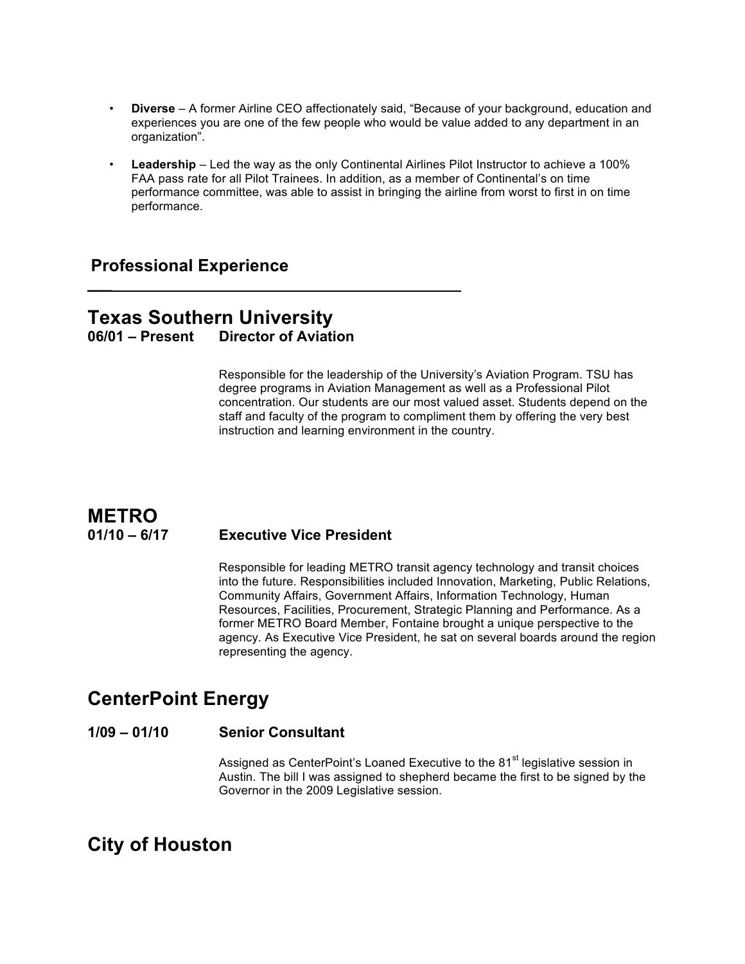- **Diverse** A former Airline CEO affectionately said, "Because of your background, education and experiences you are one of the few people who would be value added to any department in an organization".
- **Leadership** Led the way as the only Continental Airlines Pilot Instructor to achieve a 100% FAA pass rate for all Pilot Trainees. In addition, as a member of Continental's on time performance committee, was able to assist in bringing the airline from worst to first in on time performance.

## **Professional Experience**

## **Texas Southern University 06/01 – Present Director of Aviation**

**\_\_\_**\_\_\_\_\_\_\_\_\_\_\_\_\_\_\_\_\_\_\_\_\_\_\_\_\_\_\_\_\_\_\_\_\_\_\_\_\_\_\_\_\_\_\_

Responsible for the leadership of the University's Aviation Program. TSU has degree programs in Aviation Management as well as a Professional Pilot concentration. Our students are our most valued asset. Students depend on the staff and faculty of the program to compliment them by offering the very best instruction and learning environment in the country.

## **METRO 01/10 – 6/17 Executive Vice President**

Responsible for leading METRO transit agency technology and transit choices into the future. Responsibilities included Innovation, Marketing, Public Relations, Community Affairs, Government Affairs, Information Technology, Human Resources, Facilities, Procurement, Strategic Planning and Performance. As a former METRO Board Member, Fontaine brought a unique perspective to the agency. As Executive Vice President, he sat on several boards around the region representing the agency.

## **CenterPoint Energy**

#### **1/09 – 01/10 Senior Consultant**

Assigned as CenterPoint's Loaned Executive to the 81<sup>st</sup> legislative session in Austin. The bill I was assigned to shepherd became the first to be signed by the Governor in the 2009 Legislative session.

## **City of Houston**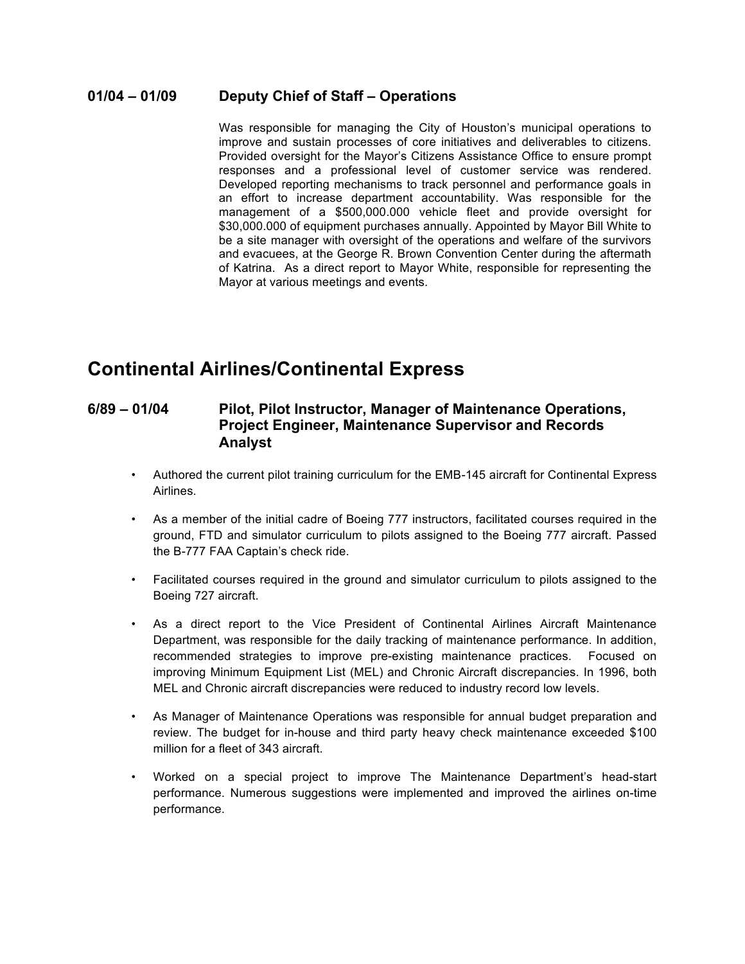#### **01/04 – 01/09 Deputy Chief of Staff – Operations**

Was responsible for managing the City of Houston's municipal operations to improve and sustain processes of core initiatives and deliverables to citizens. Provided oversight for the Mayor's Citizens Assistance Office to ensure prompt responses and a professional level of customer service was rendered. Developed reporting mechanisms to track personnel and performance goals in an effort to increase department accountability. Was responsible for the management of a \$500,000.000 vehicle fleet and provide oversight for \$30,000.000 of equipment purchases annually. Appointed by Mayor Bill White to be a site manager with oversight of the operations and welfare of the survivors and evacuees, at the George R. Brown Convention Center during the aftermath of Katrina. As a direct report to Mayor White, responsible for representing the Mayor at various meetings and events.

## **Continental Airlines/Continental Express**

### **6/89 – 01/04 Pilot, Pilot Instructor, Manager of Maintenance Operations, Project Engineer, Maintenance Supervisor and Records Analyst**

- Authored the current pilot training curriculum for the EMB-145 aircraft for Continental Express Airlines.
- As a member of the initial cadre of Boeing 777 instructors, facilitated courses required in the ground, FTD and simulator curriculum to pilots assigned to the Boeing 777 aircraft. Passed the B-777 FAA Captain's check ride.
- Facilitated courses required in the ground and simulator curriculum to pilots assigned to the Boeing 727 aircraft.
- As a direct report to the Vice President of Continental Airlines Aircraft Maintenance Department, was responsible for the daily tracking of maintenance performance. In addition, recommended strategies to improve pre-existing maintenance practices. Focused on improving Minimum Equipment List (MEL) and Chronic Aircraft discrepancies. In 1996, both MEL and Chronic aircraft discrepancies were reduced to industry record low levels.
- As Manager of Maintenance Operations was responsible for annual budget preparation and review. The budget for in-house and third party heavy check maintenance exceeded \$100 million for a fleet of 343 aircraft.
- Worked on a special project to improve The Maintenance Department's head-start performance. Numerous suggestions were implemented and improved the airlines on-time performance.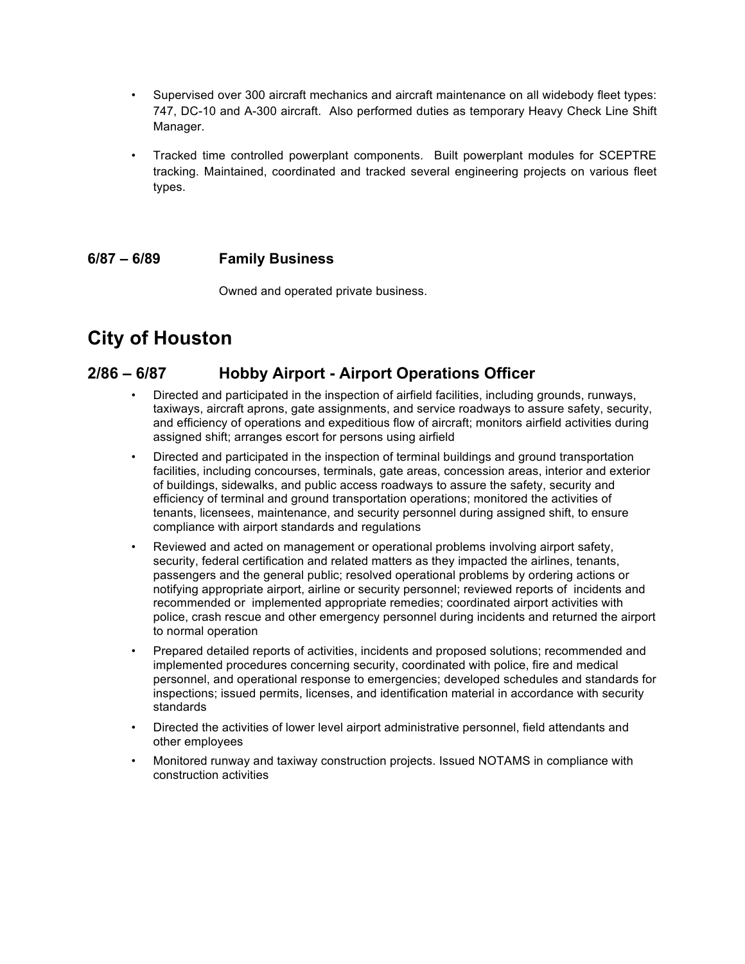- Supervised over 300 aircraft mechanics and aircraft maintenance on all widebody fleet types: 747, DC-10 and A-300 aircraft. Also performed duties as temporary Heavy Check Line Shift Manager.
- Tracked time controlled powerplant components. Built powerplant modules for SCEPTRE tracking. Maintained, coordinated and tracked several engineering projects on various fleet types.

#### **6/87 – 6/89 Family Business**

Owned and operated private business.

# **City of Houston**

## **2/86 – 6/87 Hobby Airport - Airport Operations Officer**

- Directed and participated in the inspection of airfield facilities, including grounds, runways, taxiways, aircraft aprons, gate assignments, and service roadways to assure safety, security, and efficiency of operations and expeditious flow of aircraft; monitors airfield activities during assigned shift; arranges escort for persons using airfield
- Directed and participated in the inspection of terminal buildings and ground transportation facilities, including concourses, terminals, gate areas, concession areas, interior and exterior of buildings, sidewalks, and public access roadways to assure the safety, security and efficiency of terminal and ground transportation operations; monitored the activities of tenants, licensees, maintenance, and security personnel during assigned shift, to ensure compliance with airport standards and regulations
- Reviewed and acted on management or operational problems involving airport safety, security, federal certification and related matters as they impacted the airlines, tenants, passengers and the general public; resolved operational problems by ordering actions or notifying appropriate airport, airline or security personnel; reviewed reports of incidents and recommended or implemented appropriate remedies; coordinated airport activities with police, crash rescue and other emergency personnel during incidents and returned the airport to normal operation
- Prepared detailed reports of activities, incidents and proposed solutions; recommended and implemented procedures concerning security, coordinated with police, fire and medical personnel, and operational response to emergencies; developed schedules and standards for inspections; issued permits, licenses, and identification material in accordance with security standards
- Directed the activities of lower level airport administrative personnel, field attendants and other employees
- Monitored runway and taxiway construction projects. Issued NOTAMS in compliance with construction activities